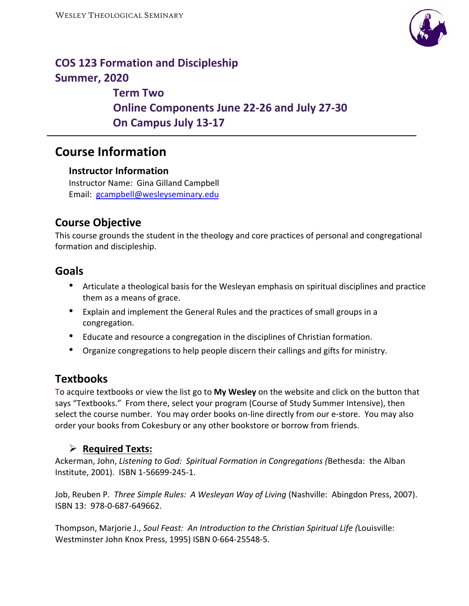

# **COS 123 Formation and Discipleship Summer, 2020**

 **Term Two Online Components June 22‐26 and July 27‐30 On Campus July 13‐17** 

# **Course Information**

#### **Instructor Information**

Instructor Name: Gina Gilland Campbell Email: gcampbell@wesleyseminary.edu

# **Course Objective**

This course grounds the student in the theology and core practices of personal and congregational formation and discipleship.

## **Goals**

- Articulate a theological basis for the Wesleyan emphasis on spiritual disciplines and practice them as a means of grace.
- Explain and implement the General Rules and the practices of small groups in a congregation.
- Educate and resource a congregation in the disciplines of Christian formation.
- Organize congregations to help people discern their callings and gifts for ministry.

## **Textbooks**

To acquire textbooks or view the list go to **My Wesley** on the website and click on the button that says "Textbooks." From there, select your program (Course of Study Summer Intensive), then select the course number. You may order books on-line directly from our e-store. You may also order your books from Cokesbury or any other bookstore or borrow from friends.

### **Required Texts:**

Ackerman, John, *Listening to God: Spiritual Formation in Congregations (*Bethesda: the Alban Institute, 2001). ISBN 1‐56699‐245‐1.

Job, Reuben P. Three Simple Rules: A Wesleyan Way of Living (Nashville: Abingdon Press, 2007). ISBN 13: 978‐0‐687‐649662.

Thompson, Marjorie J., *Soul Feast: An Introduction to the Christian Spiritual Life (*Louisville: Westminster John Knox Press, 1995) ISBN 0‐664‐25548‐5.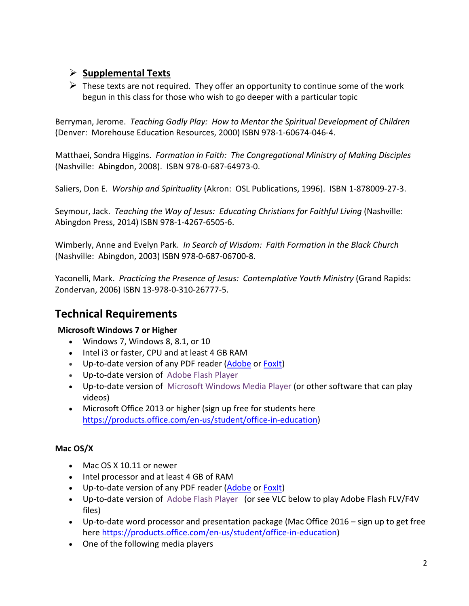## **Supplemental Texts**

 $\triangleright$  These texts are not required. They offer an opportunity to continue some of the work begun in this class for those who wish to go deeper with a particular topic

Berryman, Jerome. *Teaching Godly Play: How to Mentor the Spiritual Development of Children*  (Denver: Morehouse Education Resources, 2000) ISBN 978‐1‐60674‐046‐4.

Matthaei, Sondra Higgins. *Formation in Faith: The Congregational Ministry of Making Disciples*  (Nashville: Abingdon, 2008). ISBN 978‐0‐687‐64973‐0.

Saliers, Don E. *Worship and Spirituality* (Akron: OSL Publications, 1996). ISBN 1‐878009‐27‐3.

Seymour, Jack. *Teaching the Way of Jesus: Educating Christians for Faithful Living* (Nashville: Abingdon Press, 2014) ISBN 978‐1‐4267‐6505‐6.

Wimberly, Anne and Evelyn Park. *In Search of Wisdom: Faith Formation in the Black Church*  (Nashville: Abingdon, 2003) ISBN 978‐0‐687‐06700‐8.

Yaconelli, Mark. *Practicing the Presence of Jesus: Contemplative Youth Ministry* (Grand Rapids: Zondervan, 2006) ISBN 13‐978‐0‐310‐26777‐5.

# **Technical Requirements**

#### **Microsoft Windows 7 or Higher**

- Windows 7, Windows 8, 8.1, or 10
- Intel i3 or faster, CPU and at least 4 GB RAM
- Up-to-date version of any PDF reader (Adobe or FoxIt)
- Up‐to‐date version of Adobe Flash Player
- Up-to-date version of Microsoft Windows Media Player (or other software that can play videos)
- Microsoft Office 2013 or higher (sign up free for students here https://products.office.com/en-us/student/office-in-education)

#### **Mac OS/X**

- Mac OS X 10.11 or newer
- Intel processor and at least 4 GB of RAM
- Up-to-date version of any PDF reader (Adobe or FoxIt)
- Up-to-date version of Adobe Flash Player (or see VLC below to play Adobe Flash FLV/F4V files)
- Up-to-date word processor and presentation package (Mac Office 2016 sign up to get free here https://products.office.com/en-us/student/office-in-education)
- One of the following media players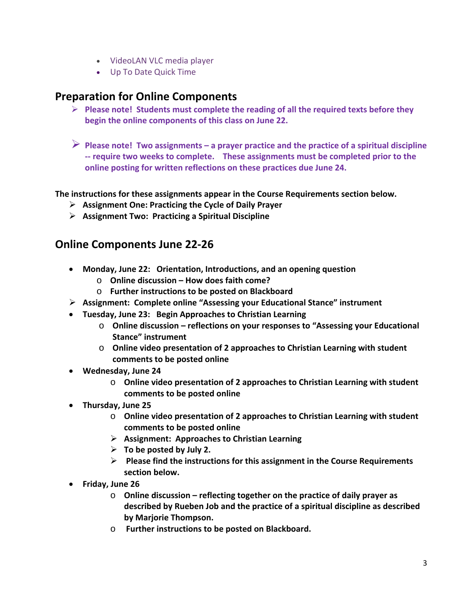- VideoLAN VLC media player
- Up To Date Quick Time

## **Preparation for Online Components**

- **Please note! Students must complete the reading of all the required texts before they begin the online components of this class on June 22.**
- **Please note! Two assignments a prayer practice and the practice of a spiritual discipline ‐‐ require two weeks to complete. These assignments must be completed prior to the online posting for written reflections on these practices due June 24.**

#### **The instructions for these assignments appear in the Course Requirements section below.**

- **Assignment One: Practicing the Cycle of Daily Prayer**
- **Assignment Two: Practicing a Spiritual Discipline**

## **Online Components June 22‐26**

- **Monday, June 22: Orientation, Introductions, and an opening question** 
	- o **Online discussion How does faith come?**
	- o **Further instructions to be posted on Blackboard**
- **Assignment: Complete online "Assessing your Educational Stance" instrument**
- **Tuesday, June 23: Begin Approaches to Christian Learning** 
	- o **Online discussion reflections on your responses to "Assessing your Educational Stance" instrument**
	- o **Online video presentation of 2 approaches to Christian Learning with student comments to be posted online**
- **Wednesday, June 24** 
	- o **Online video presentation of 2 approaches to Christian Learning with student comments to be posted online**
- **Thursday, June 25** 
	- o **Online video presentation of 2 approaches to Christian Learning with student comments to be posted online**
	- **Assignment: Approaches to Christian Learning**
	- **To be posted by July 2.**
	- **Please find the instructions for this assignment in the Course Requirements section below.**
- **Friday, June 26** 
	- o **Online discussion reflecting together on the practice of daily prayer as described by Rueben Job and the practice of a spiritual discipline as described by Marjorie Thompson.**
	- o  **Further instructions to be posted on Blackboard.**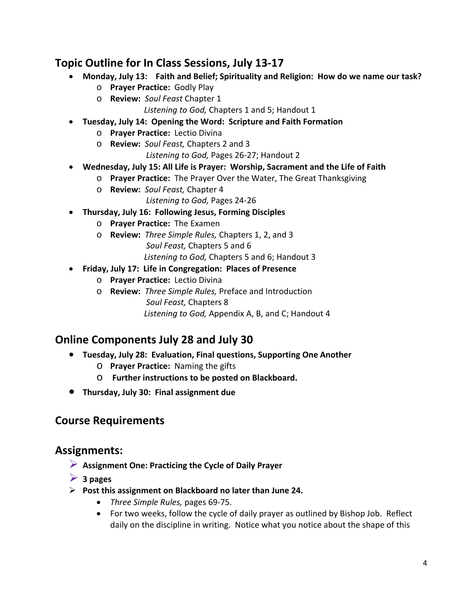# **Topic Outline for In Class Sessions, July 13‐17**

- **Monday, July 13: Faith and Belief; Spirituality and Religion: How do we name our task?** 
	- o **Prayer Practice:** Godly Play
	- o **Review:** *Soul Feast* Chapter 1

*Listening to God,* Chapters 1 and 5; Handout 1

- **Tuesday, July 14: Opening the Word: Scripture and Faith Formation** 
	- o **Prayer Practice:** Lectio Divina
	- o **Review:** *Soul Feast,* Chapters 2 and 3

*Listening to God,* Pages 26‐27; Handout 2

- **Wednesday, July 15: All Life is Prayer: Worship, Sacrament and the Life of Faith** 
	- o **Prayer Practice:** The Prayer Over the Water, The Great Thanksgiving
	- o **Review:** *Soul Feast,* Chapter 4
		- *Listening to God,* Pages 24‐26
- **Thursday, July 16: Following Jesus, Forming Disciples** 
	- o **Prayer Practice:** The Examen
	- o **Review:** *Three Simple Rules,* Chapters 1, 2, and 3 *Soul Feast,* Chapters 5 and 6  *Listening to God,* Chapters 5 and 6; Handout 3
- **Friday, July 17: Life in Congregation: Places of Presence** 
	- o **Prayer Practice:** Lectio Divina
	- o **Review:** *Three Simple Rules,* Preface and Introduction
		- *Soul Feast,* Chapters 8

 *Listening to God,* Appendix A, B, and C; Handout 4

## **Online Components July 28 and July 30**

- **Tuesday, July 28: Evaluation, Final questions, Supporting One Another**
	- o **Prayer Practice:** Naming the gifts
	- o **Further instructions to be posted on Blackboard.**
- **Thursday, July 30: Final assignment due**

### **Course Requirements**

### **Assignments:**

- **Assignment One: Practicing the Cycle of Daily Prayer**
- **3 pages**
- **Post this assignment on Blackboard no later than June 24.** 
	- *Three Simple Rules,* pages 69‐75.
	- For two weeks, follow the cycle of daily prayer as outlined by Bishop Job. Reflect daily on the discipline in writing. Notice what you notice about the shape of this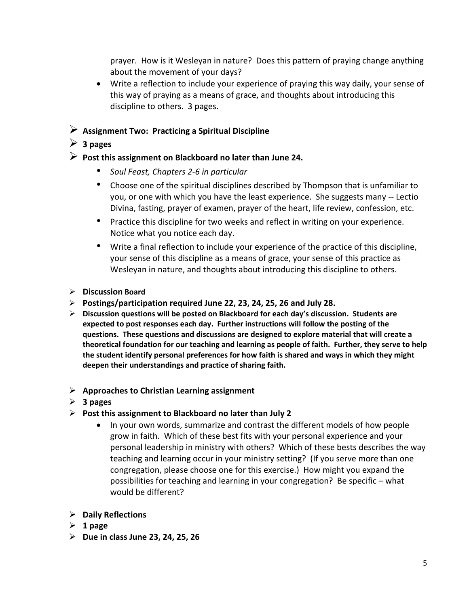prayer. How is it Wesleyan in nature? Does this pattern of praying change anything about the movement of your days?

- Write a reflection to include your experience of praying this way daily, your sense of this way of praying as a means of grace, and thoughts about introducing this discipline to others. 3 pages.
- **Assignment Two: Practicing a Spiritual Discipline**

#### **3 pages**

#### **Post this assignment on Blackboard no later than June 24.**

- *Soul Feast, Chapters 2‐6 in particular*
- Choose one of the spiritual disciplines described by Thompson that is unfamiliar to you, or one with which you have the least experience. She suggests many ‐‐ Lectio Divina, fasting, prayer of examen, prayer of the heart, life review, confession, etc.
- Practice this discipline for two weeks and reflect in writing on your experience. Notice what you notice each day.
- Write a final reflection to include your experience of the practice of this discipline, your sense of this discipline as a means of grace, your sense of this practice as Wesleyan in nature, and thoughts about introducing this discipline to others.
- **Discussion Board**
- **Postings/participation required June 22, 23, 24, 25, 26 and July 28.**
- **Discussion questions will be posted on Blackboard for each day's discussion. Students are expected to post responses each day. Further instructions will follow the posting of the questions. These questions and discussions are designed to explore material that will create a theoretical foundation for our teaching and learning as people of faith. Further, they serve to help the student identify personal preferences for how faith is shared and ways in which they might deepen their understandings and practice of sharing faith.**

#### **Approaches to Christian Learning assignment**

- **3 pages**
- **Post this assignment to Blackboard no later than July 2** 
	- In your own words, summarize and contrast the different models of how people grow in faith. Which of these best fits with your personal experience and your personal leadership in ministry with others? Which of these bests describes the way teaching and learning occur in your ministry setting? (If you serve more than one congregation, please choose one for this exercise.) How might you expand the possibilities for teaching and learning in your congregation? Be specific – what would be different?
- **Daily Reflections**
- $\geq 1$  page
- **Due in class June 23, 24, 25, 26**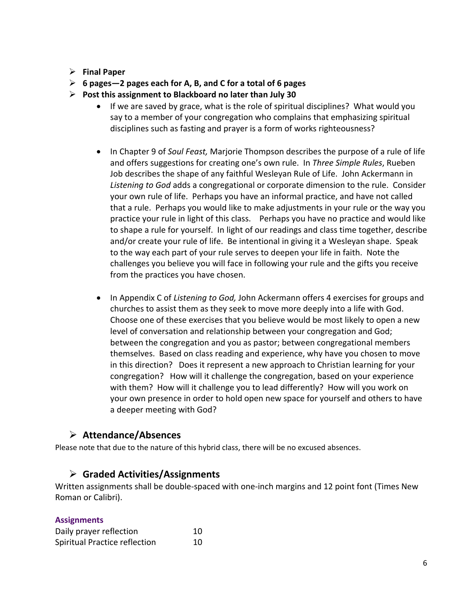#### **Final Paper**

- **6 pages—2 pages each for A, B, and C for a total of 6 pages**
- **Post this assignment to Blackboard no later than July 30** 
	- If we are saved by grace, what is the role of spiritual disciplines? What would you say to a member of your congregation who complains that emphasizing spiritual disciplines such as fasting and prayer is a form of works righteousness?
	- In Chapter 9 of *Soul Feast*, Marjorie Thompson describes the purpose of a rule of life and offers suggestions for creating one's own rule. In *Three Simple Rules*, Rueben Job describes the shape of any faithful Wesleyan Rule of Life. John Ackermann in *Listening to God* adds a congregational or corporate dimension to the rule. Consider your own rule of life. Perhaps you have an informal practice, and have not called that a rule. Perhaps you would like to make adjustments in your rule or the way you practice your rule in light of this class. Perhaps you have no practice and would like to shape a rule for yourself. In light of our readings and class time together, describe and/or create your rule of life. Be intentional in giving it a Wesleyan shape. Speak to the way each part of your rule serves to deepen your life in faith. Note the challenges you believe you will face in following your rule and the gifts you receive from the practices you have chosen.
	- In Appendix C of *Listening to God,* John Ackermann offers 4 exercises for groups and churches to assist them as they seek to move more deeply into a life with God. Choose one of these exercises that you believe would be most likely to open a new level of conversation and relationship between your congregation and God; between the congregation and you as pastor; between congregational members themselves. Based on class reading and experience, why have you chosen to move in this direction? Does it represent a new approach to Christian learning for your congregation? How will it challenge the congregation, based on your experience with them? How will it challenge you to lead differently? How will you work on your own presence in order to hold open new space for yourself and others to have a deeper meeting with God?

## **Attendance/Absences**

Please note that due to the nature of this hybrid class, there will be no excused absences.

#### **Graded Activities/Assignments**

Written assignments shall be double‐spaced with one‐inch margins and 12 point font (Times New Roman or Calibri).

#### **Assignments**

| Daily prayer reflection       | 10 |
|-------------------------------|----|
| Spiritual Practice reflection | 10 |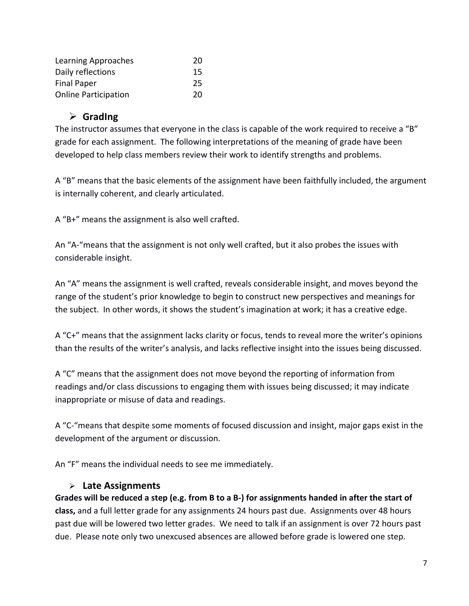| Learning Approaches         | 20 |  |  |
|-----------------------------|----|--|--|
| Daily reflections           | 15 |  |  |
| <b>Final Paper</b>          | 25 |  |  |
| <b>Online Participation</b> | 20 |  |  |

### **GradIng**

The instructor assumes that everyone in the class is capable of the work required to receive a "B" grade for each assignment. The following interpretations of the meaning of grade have been developed to help class members review their work to identify strengths and problems.

A "B" means that the basic elements of the assignment have been faithfully included, the argument is internally coherent, and clearly articulated.

A "B+" means the assignment is also well crafted.

An "A‐"means that the assignment is not only well crafted, but it also probes the issues with considerable insight.

An "A" means the assignment is well crafted, reveals considerable insight, and moves beyond the range of the student's prior knowledge to begin to construct new perspectives and meanings for the subject. In other words, it shows the student's imagination at work; it has a creative edge.

A "C+" means that the assignment lacks clarity or focus, tends to reveal more the writer's opinions than the results of the writer's analysis, and lacks reflective insight into the issues being discussed.

A "C" means that the assignment does not move beyond the reporting of information from readings and/or class discussions to engaging them with issues being discussed; it may indicate inappropriate or misuse of data and readings.

A "C‐"means that despite some moments of focused discussion and insight, major gaps exist in the development of the argument or discussion.

An "F" means the individual needs to see me immediately.

### **Late Assignments**

**Grades will be reduced a step (e.g. from B to a B‐) for assignments handed in after the start of class,** and a full letter grade for any assignments 24 hours past due. Assignments over 48 hours past due will be lowered two letter grades. We need to talk if an assignment is over 72 hours past due. Please note only two unexcused absences are allowed before grade is lowered one step.